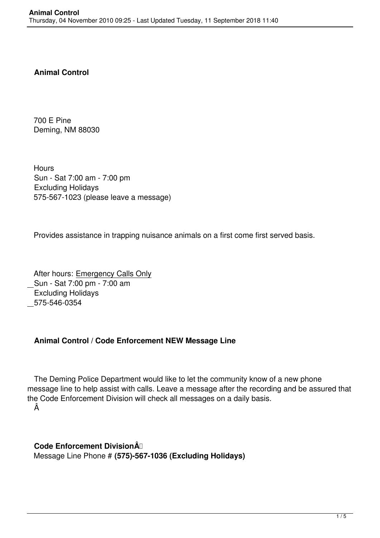## **Animal Control**

 700 E Pine Deming, NM 88030

**Hours**  Sun - Sat 7:00 am - 7:00 pm Excluding Holidays 575-567-1023 (please leave a message)

Provides assistance in trapping nuisance animals on a first come first served basis.

 After hours: Emergency Calls Only Sun - Sat 7:00 pm - 7:00 am Excluding Holidays 575-546-0354

## **Animal Control / Code Enforcement NEW Message Line**

 The Deming Police Department would like to let the community know of a new phone message line to help assist with calls. Leave a message after the recording and be assured that the Code Enforcement Division will check all messages on a daily basis. Â

 **Code Enforcement Division**  Message Line Phone # **(575)-567-1036 (Excluding Holidays)**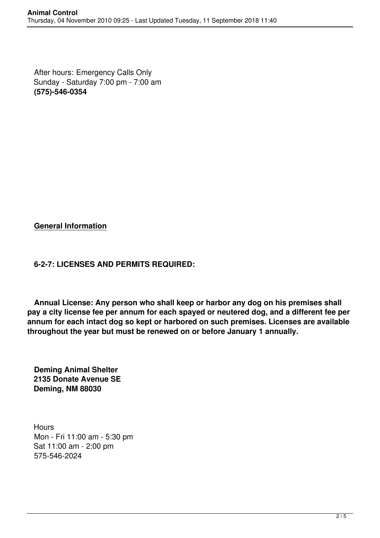After hours: Emergency Calls Only Sunday - Saturday 7:00 pm - 7:00 am **(575)-546-0354**

**General Information**

## **6-2-7: LICENSES AND PERMITS REQUIRED:**

 **Annual License: Any person who shall keep or harbor any dog on his premises shall pay a city license fee per annum for each spayed or neutered dog, and a different fee per annum for each intact dog so kept or harbored on such premises. Licenses are available throughout the year but must be renewed on or before January 1 annually.**

 **Deming Animal Shelter 2135 Donate Avenue SE Deming, NM 88030**

**Hours**  Mon - Fri 11:00 am - 5:30 pm Sat 11:00 am - 2:00 pm 575-546-2024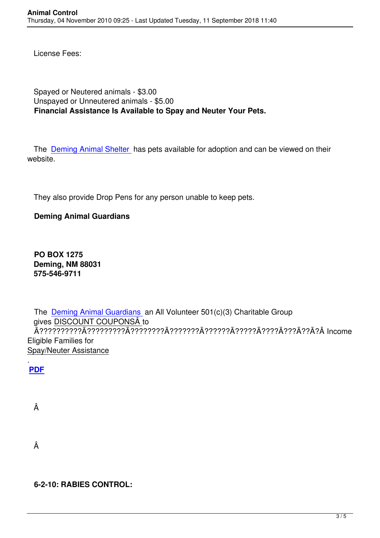License Fees:

Spayed or Neutered animals - \$3.00 Unspayed or Unneutered animals - \$5.00 Financial Assistance Is Available to Spay and Neuter Your Pets.

The Deming Animal Shelter has pets available for adoption and can be viewed on their website

They also provide Drop Pens for any person unable to keep pets.

## **Deming Animal Guardians**

**PO BOX 1275 Deming, NM 88031** 575-546-9711

The Deming Animal Guardians an All Volunteer 501(c)(3) Charitable Group gives DISCOUNT COUPONSÂ to **Eligible Families for Spay/Neuter Assistance** 

**PDF** 

Â

Â

6-2-10: RABIES CONTROL: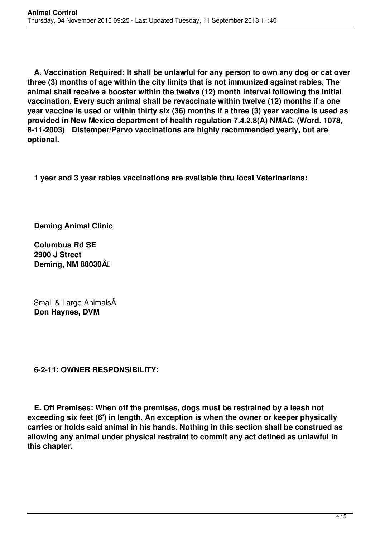**A. Vaccination Required: It shall be unlawful for any person to own any dog or cat over three (3) months of age within the city limits that is not immunized against rabies. The animal shall receive a booster within the twelve (12) month interval following the initial vaccination. Every such animal shall be revaccinate within twelve (12) months if a one year vaccine is used or within thirty six (36) months if a three (3) year vaccine is used as provided in New Mexico department of health regulation 7.4.2.8(A) NMAC. (Word. 1078, 8-11-2003) Distemper/Parvo vaccinations are highly recommended yearly, but are optional.**

**1 year and 3 year rabies vaccinations are available thru local Veterinarians:**

**Deming Animal Clinic**

 **Columbus Rd SE 2900 J Street Deming, NM 88030** $\hat{A}$ 

Small & Large AnimalsÂ **Don Haynes, DVM**

 **6-2-11: OWNER RESPONSIBILITY:**

 **E. Off Premises: When off the premises, dogs must be restrained by a leash not exceeding six feet (6') in length. An exception is when the owner or keeper physically carries or holds said animal in his hands. Nothing in this section shall be construed as allowing any animal under physical restraint to commit any act defined as unlawful in this chapter.**